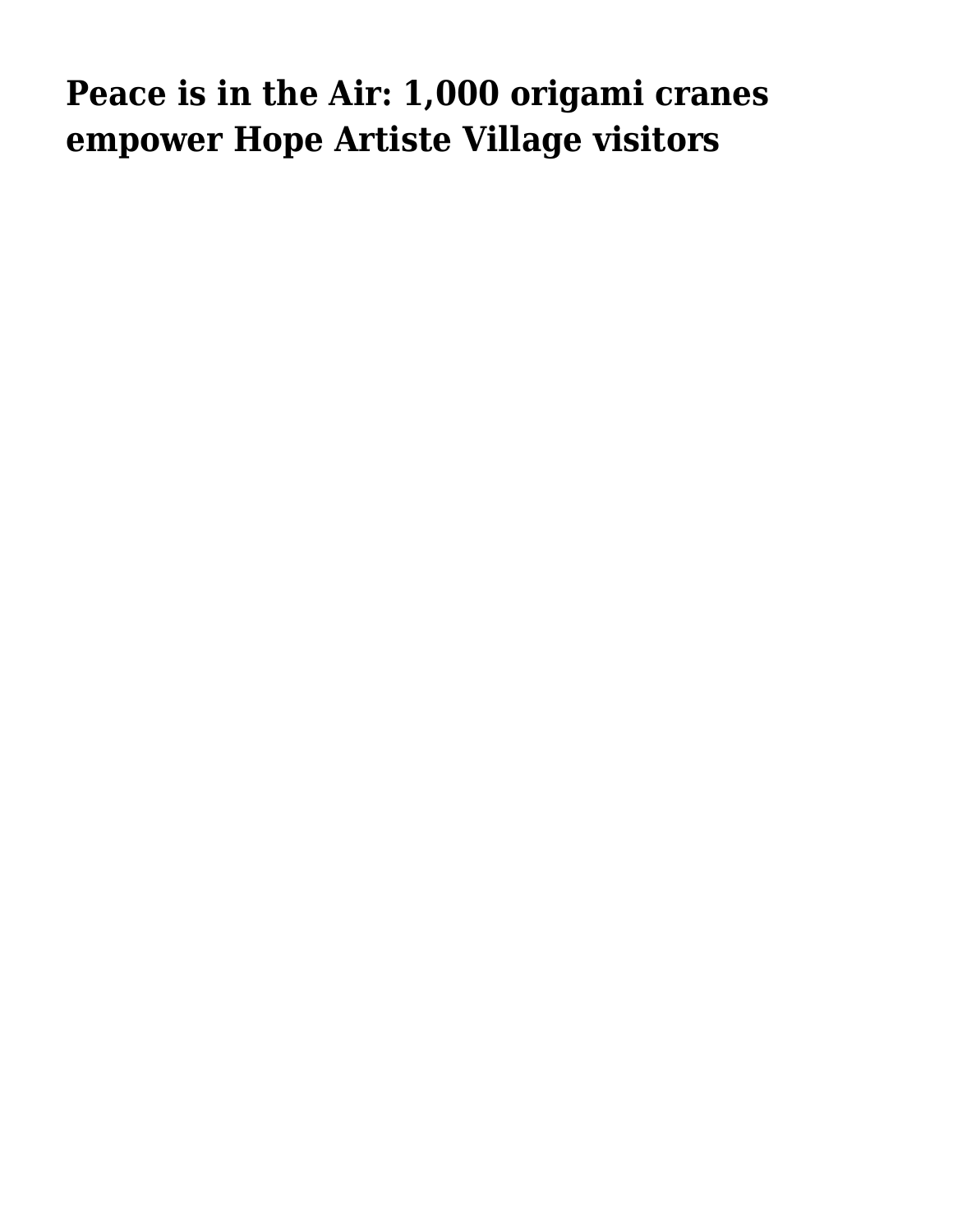## **[Peace is in the Air: 1,000 origami cranes](https://motifri.com/peace-is-in-the-air-1000-origami-cranes-empower-hope-artiste-village-visitors/) [empower Hope Artiste Village visitors](https://motifri.com/peace-is-in-the-air-1000-origami-cranes-empower-hope-artiste-village-visitors/)**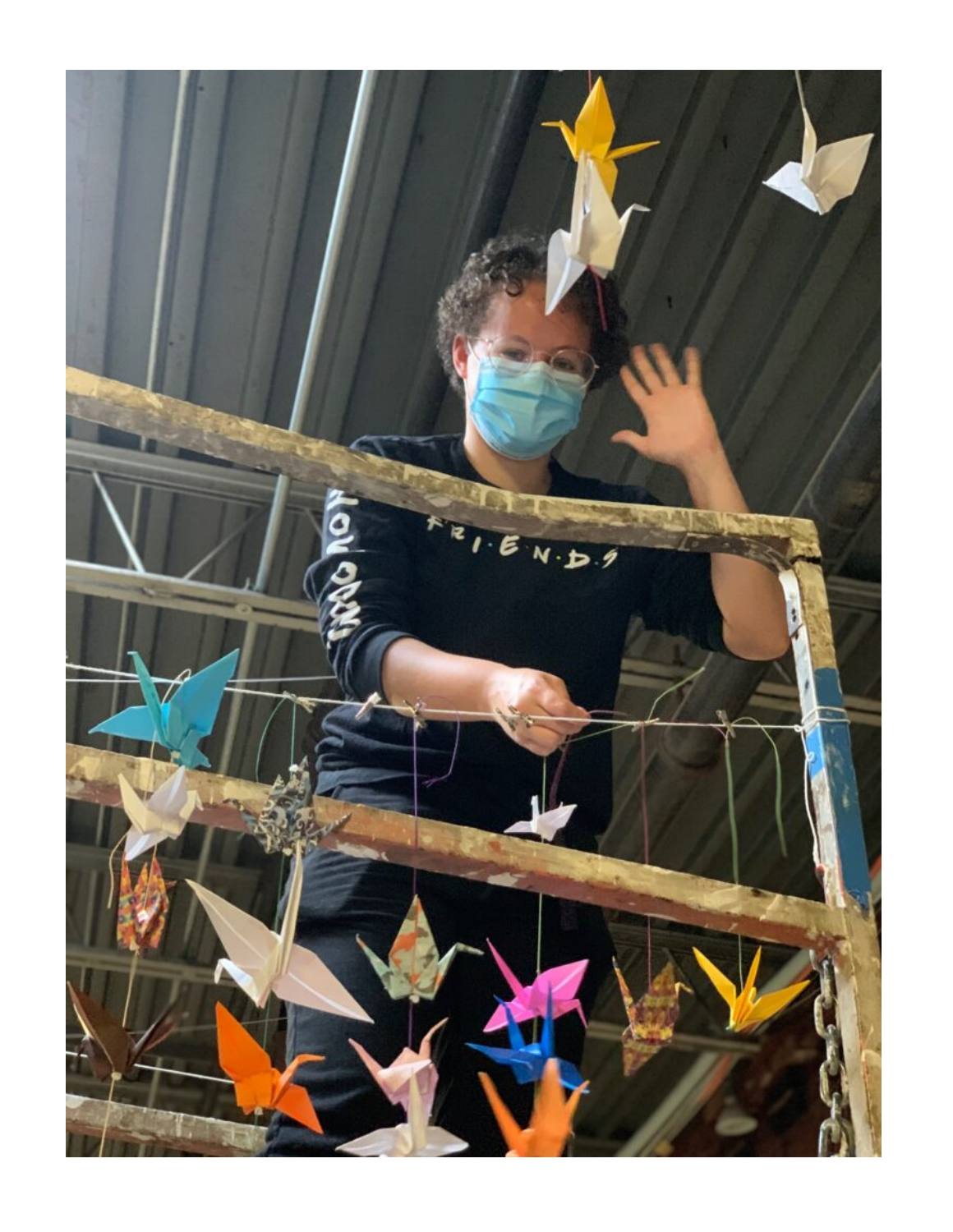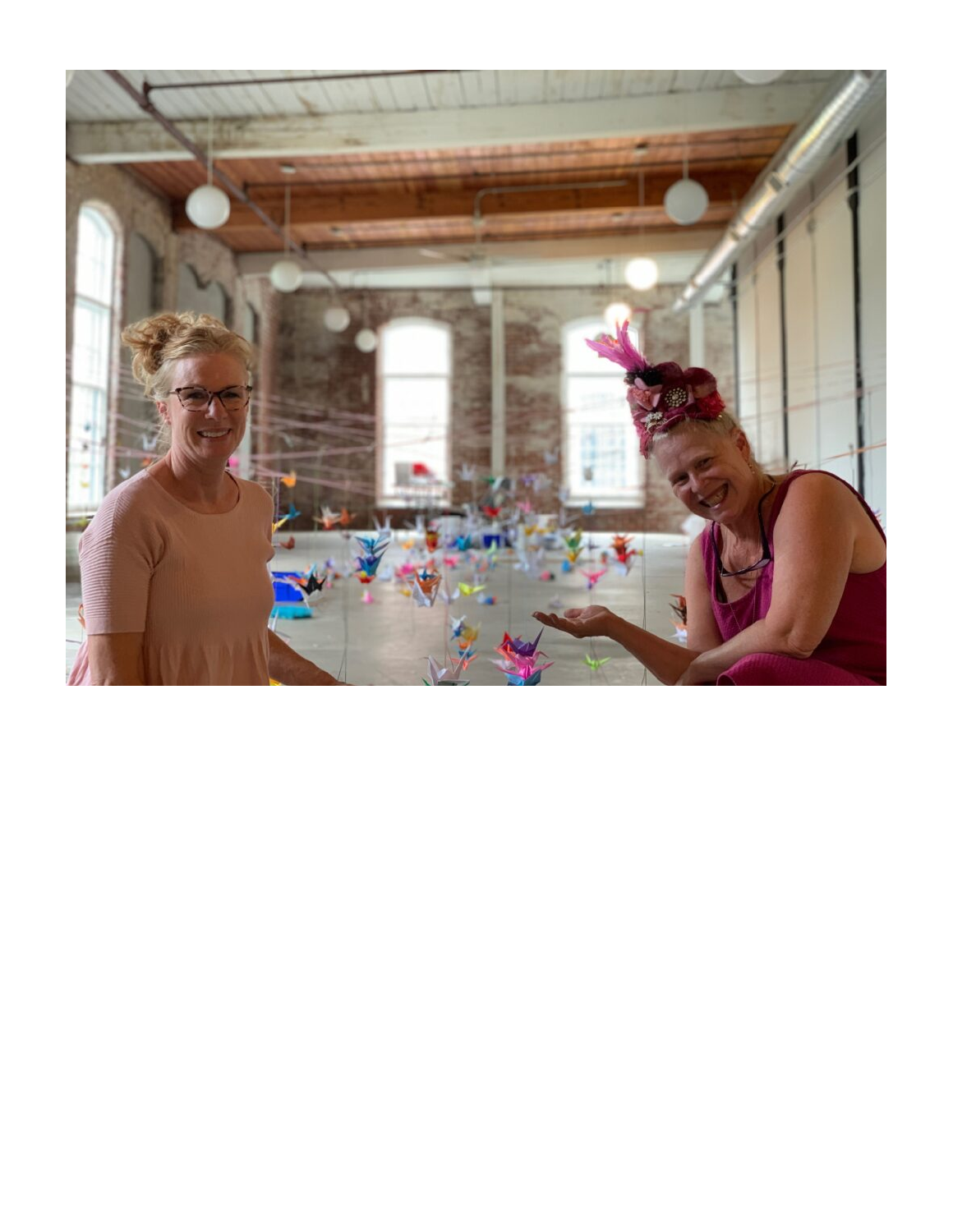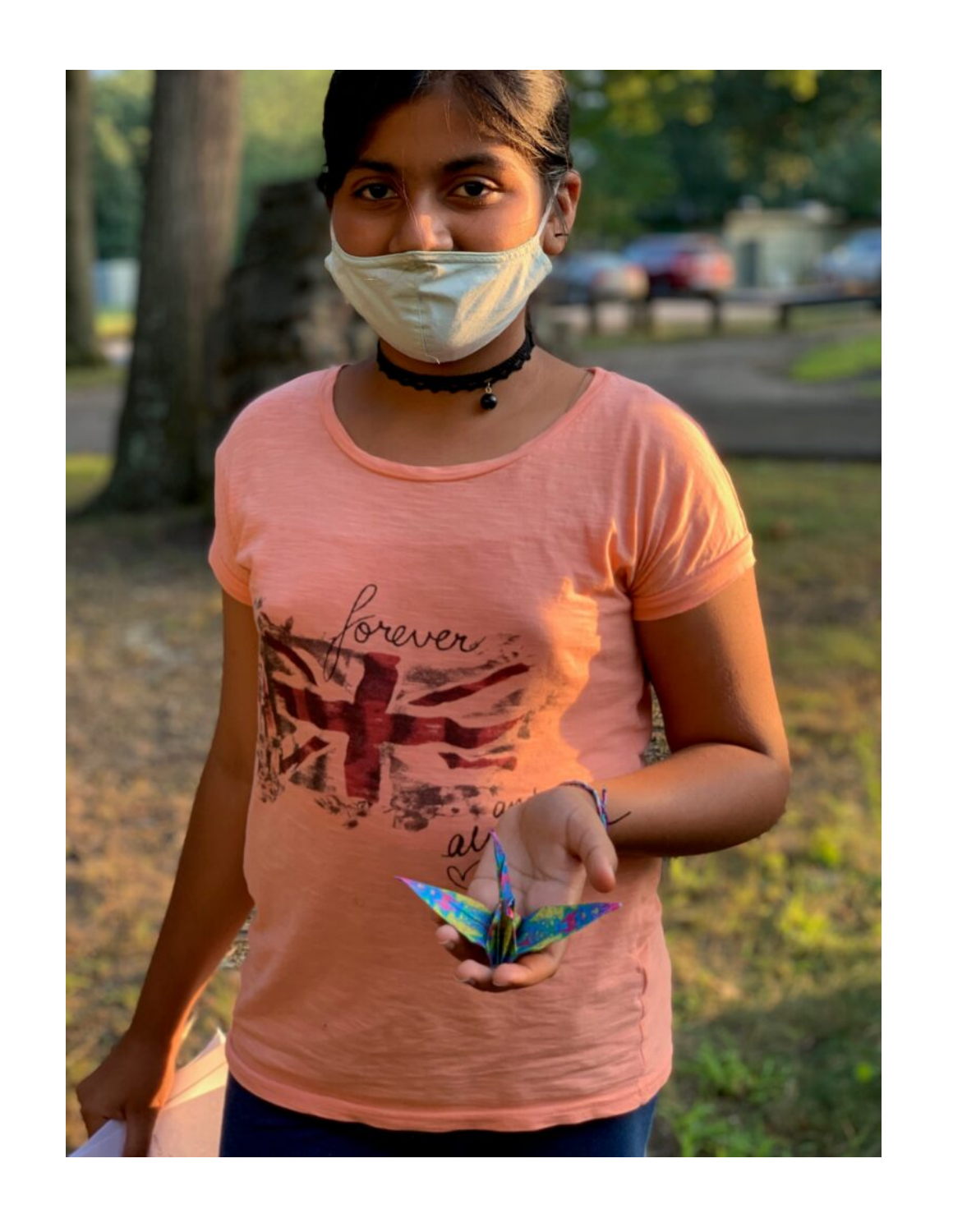